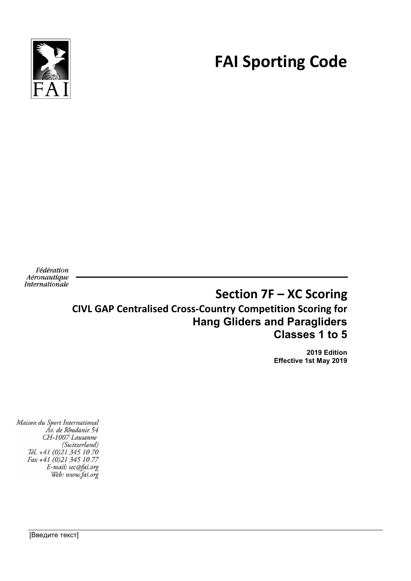

# **FAI Sporting Code**

Fédération Aéronautique Internationale

# **Section 7F – XC Scoring CIVL GAP Centralised Cross-Country Competition Scoring for Hang Gliders and Paragliders Classes 1 to 5**

**2019 Edition Effective 1st May 2019**

Maison du Sport International Áv. de Rhodanie 54 CH-1007 Lausanne (Switzerland) Tél. +41 (0)21 345 10 70 Fax +41 (0)21 345 10 77 E-mail: sec@fai.org Web: www.fai.org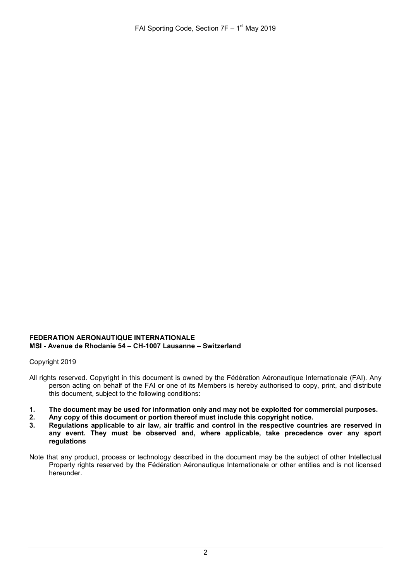#### **FEDERATION AERONAUTIQUE INTERNATIONALE MSI - Avenue de Rhodanie 54 – CH-1007 Lausanne – Switzerland**

Copyright 2019

- All rights reserved. Copyright in this document is owned by the Fédération Aéronautique Internationale (FAI). Any person acting on behalf of the FAI or one of its Members is hereby authorised to copy, print, and distribute this document, subject to the following conditions:
- **1. The document may be used for information only and may not be exploited for commercial purposes.**
- **2. Any copy of this document or portion thereof must include this copyright notice.**
- **3. Regulations applicable to air law, air traffic and control in the respective countries are reserved in any event. They must be observed and, where applicable, take precedence over any sport regulations**
- Note that any product, process or technology described in the document may be the subject of other Intellectual Property rights reserved by the Fédération Aéronautique Internationale or other entities and is not licensed hereunder.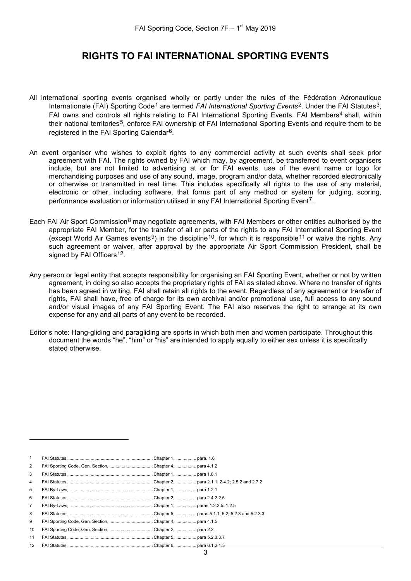### **RIGHTS TO FAI INTERNATIONAL SPORTING EVENTS**

- All international sporting events organised wholly or partly under the rules of the Fédération Aéronautique Internationale (FAI) Sporting Code<sup>[1](#page-2-0)</sup> are termed *FAI International Sporting Events*<sup>2</sup>. Under the FAI Statutes<sup>[3](#page-2-2)</sup>, FAI owns and controls all rights relating to FAI International Sporting Events. FAI Members<sup>[4](#page-2-3)</sup> shall, within their national territories<sup>[5](#page-2-4)</sup>, enforce FAI ownership of FAI International Sporting Events and require them to be registered in the FAI Sporting Calendar[6](#page-2-5).
- An event organiser who wishes to exploit rights to any commercial activity at such events shall seek prior agreement with FAI. The rights owned by FAI which may, by agreement, be transferred to event organisers include, but are not limited to advertising at or for FAI events, use of the event name or logo for merchandising purposes and use of any sound, image, program and/or data, whether recorded electronically or otherwise or transmitted in real time. This includes specifically all rights to the use of any material, electronic or other, including software, that forms part of any method or system for judging, scoring, performance evaluation or information utilised in any FAI International Sporting Event<sup>[7](#page-2-6)</sup>.
- Each FAI Air Sport Commission<sup>[8](#page-2-7)</sup> may negotiate agreements, with FAI Members or other entities authorised by the appropriate FAI Member, for the transfer of all or parts of the rights to any FAI International Sporting Event (except World Air Games events<sup>9</sup>) in the discipline<sup>10</sup>, for which it is responsible<sup>[11](#page-2-10)</sup> or waive the rights. Any such agreement or waiver, after approval by the appropriate Air Sport Commission President, shall be signed by FAI Officers<sup>12</sup>.
- Any person or legal entity that accepts responsibility for organising an FAI Sporting Event, whether or not by written agreement, in doing so also accepts the proprietary rights of FAI as stated above. Where no transfer of rights has been agreed in writing, FAI shall retain all rights to the event. Regardless of any agreement or transfer of rights, FAI shall have, free of charge for its own archival and/or promotional use, full access to any sound and/or visual images of any FAI Sporting Event. The FAI also reserves the right to arrange at its own expense for any and all parts of any event to be recorded.
- Editor's note: Hang-gliding and paragliding are sports in which both men and women participate. Throughout this document the words "he", "him" or "his" are intended to apply equally to either sex unless it is specifically stated otherwise.

<span id="page-2-11"></span><span id="page-2-10"></span><span id="page-2-9"></span><span id="page-2-8"></span><span id="page-2-7"></span><span id="page-2-6"></span><span id="page-2-5"></span><span id="page-2-4"></span><span id="page-2-3"></span><span id="page-2-2"></span><span id="page-2-1"></span><span id="page-2-0"></span>

| $\mathbf{1}$   |                                                       |  |
|----------------|-------------------------------------------------------|--|
| 2              |                                                       |  |
| 3              |                                                       |  |
| $\overline{4}$ |                                                       |  |
| 5              |                                                       |  |
| 6              |                                                       |  |
| $\overline{7}$ |                                                       |  |
| 8              |                                                       |  |
| 9              |                                                       |  |
| 10             | FAI Sporting Code, Gen. Section, Chapter 2, para 2.2. |  |
| 11             |                                                       |  |
| 12             |                                                       |  |

j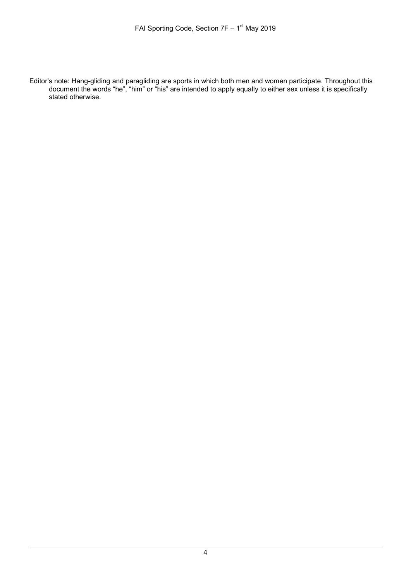Editor's note: Hang-gliding and paragliding are sports in which both men and women participate. Throughout this document the words "he", "him" or "his" are intended to apply equally to either sex unless it is specifically stated otherwise.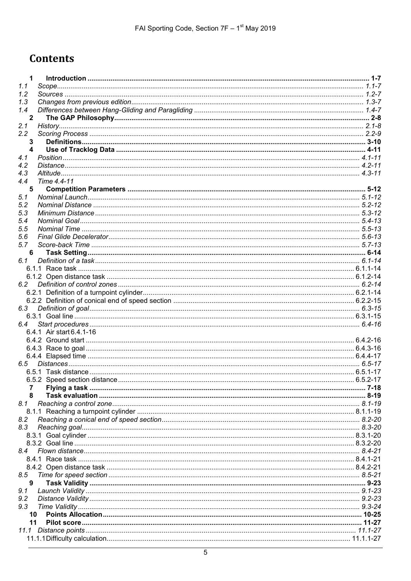# **Contents**

| $\mathbf{1}$            |                          |  |
|-------------------------|--------------------------|--|
| 1.1                     |                          |  |
| 1.2                     |                          |  |
| 1.3                     |                          |  |
| 1.4                     |                          |  |
| $\overline{\mathbf{2}}$ |                          |  |
| 2.1                     |                          |  |
| 2.2                     |                          |  |
| 3                       |                          |  |
| $\overline{\mathbf{4}}$ |                          |  |
| 4.1                     |                          |  |
| 4.2                     |                          |  |
| 4.3                     |                          |  |
| 4.4                     | Time 4.4-11              |  |
| 5                       |                          |  |
| 5.1                     |                          |  |
|                         |                          |  |
| 5.2                     |                          |  |
| 5.3                     |                          |  |
| 5.4                     |                          |  |
| 5.5                     |                          |  |
| 5.6                     |                          |  |
| 5.7                     |                          |  |
| 6                       |                          |  |
| 6.1                     |                          |  |
|                         |                          |  |
|                         |                          |  |
| 6.2                     |                          |  |
|                         |                          |  |
|                         |                          |  |
| 6.3                     |                          |  |
|                         |                          |  |
| 6.4                     |                          |  |
|                         | 6.4.1 Air start 6.4.1-16 |  |
|                         |                          |  |
|                         |                          |  |
|                         |                          |  |
|                         |                          |  |
|                         |                          |  |
|                         |                          |  |
| 7                       |                          |  |
|                         |                          |  |
| 8.1                     |                          |  |
|                         |                          |  |
|                         |                          |  |
| 8.2<br>8.3              |                          |  |
|                         |                          |  |
|                         |                          |  |
|                         |                          |  |
|                         |                          |  |
| 8.4                     |                          |  |
|                         |                          |  |
|                         |                          |  |
| 8.5                     |                          |  |
| 9                       |                          |  |
| 9.1                     |                          |  |
| 9.2                     |                          |  |
| 9.3                     |                          |  |
| 10                      |                          |  |
| 11                      |                          |  |
| 11.1                    |                          |  |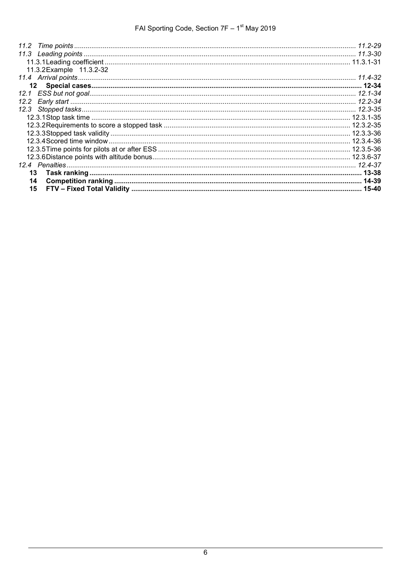| 11.3.2 Example 11.3.2-32 |  |
|--------------------------|--|
|                          |  |
|                          |  |
|                          |  |
| 12.2                     |  |
|                          |  |
|                          |  |
|                          |  |
|                          |  |
|                          |  |
|                          |  |
|                          |  |
|                          |  |
|                          |  |
| 14                       |  |
| 15                       |  |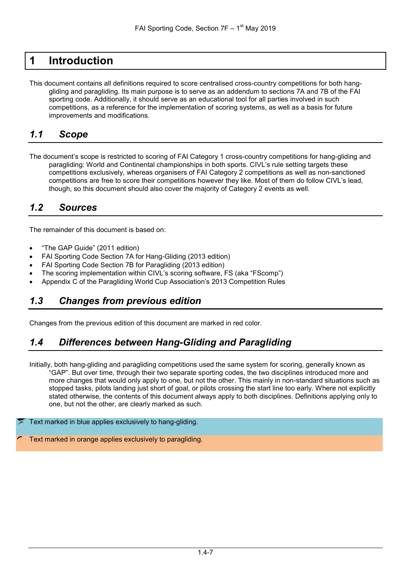# <span id="page-6-0"></span>**1 Introduction**

This document contains all definitions required to score centralised cross-country competitions for both hanggliding and paragliding. Its main purpose is to serve as an addendum to sections 7A and 7B of the FAI sporting code. Additionally, it should serve as an educational tool for all parties involved in such competitions, as a reference for the implementation of scoring systems, as well as a basis for future improvements and modifications.

### <span id="page-6-1"></span>*1.1 Scope*

The document's scope is restricted to scoring of FAI Category 1 cross-country competitions for hang-gliding and paragliding: World and Continental championships in both sports. CIVL's rule setting targets these competitions exclusively, whereas organisers of FAI Category 2 competitions as well as non-sanctioned competitions are free to score their competitions however they like. Most of them do follow CIVL's lead, though, so this document should also cover the majority of Category 2 events as well.

### <span id="page-6-2"></span>*1.2 Sources*

The remainder of this document is based on:

- "The GAP Guide" (2011 edition)
- FAI Sporting Code Section 7A for Hang-Gliding (2013 edition)
- FAI Sporting Code Section 7B for Paragliding (2013 edition)
- The scoring implementation within CIVL's scoring software, FS (aka "FScomp")
- Appendix C of the Paragliding World Cup Association's 2013 Competition Rules

### <span id="page-6-3"></span>*1.3 Changes from previous edition*

Changes from the previous edition of this document are marked in red color.

### <span id="page-6-4"></span>*1.4 Differences between Hang-Gliding and Paragliding*

Initially, both hang-gliding and paragliding competitions used the same system for scoring, generally known as "GAP". But over time, through their two separate sporting codes, the two disciplines introduced more and more changes that would only apply to one, but not the other. This mainly in non-standard situations such as stopped tasks, pilots landing just short of goal, or pilots crossing the start line too early. Where not explicitly stated otherwise, the contents of this document always apply to both disciplines. Definitions applying only to one, but not the other, are clearly marked as such.

#### Text marked in blue applies exclusively to hang-gliding.

Text marked in orange applies exclusively to paragliding.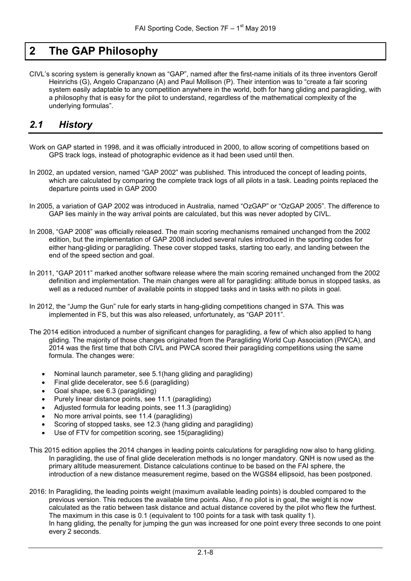## <span id="page-7-0"></span>**2 The GAP Philosophy**

CIVL's scoring system is generally known as "GAP", named after the first-name initials of its three inventors Gerolf Heinrichs (G), Angelo Crapanzano (A) and Paul Mollison (P). Their intention was to "create a fair scoring system easily adaptable to any competition anywhere in the world, both for hang gliding and paragliding, with a philosophy that is easy for the pilot to understand, regardless of the mathematical complexity of the underlying formulas".

### <span id="page-7-1"></span>*2.1 History*

- Work on GAP started in 1998, and it was officially introduced in 2000, to allow scoring of competitions based on GPS track logs, instead of photographic evidence as it had been used until then.
- In 2002, an updated version, named "GAP 2002" was published. This introduced the concept of leading points, which are calculated by comparing the complete track logs of all pilots in a task. Leading points replaced the departure points used in GAP 2000
- In 2005, a variation of GAP 2002 was introduced in Australia, named "OzGAP" or "OzGAP 2005". The difference to GAP lies mainly in the way arrival points are calculated, but this was never adopted by CIVL.
- In 2008, "GAP 2008" was officially released. The main scoring mechanisms remained unchanged from the 2002 edition, but the implementation of GAP 2008 included several rules introduced in the sporting codes for either hang-gliding or paragliding. These cover stopped tasks, starting too early, and landing between the end of the speed section and goal.
- In 2011, "GAP 2011" marked another software release where the main scoring remained unchanged from the 2002 definition and implementation. The main changes were all for paragliding: altitude bonus in stopped tasks, as well as a reduced number of available points in stopped tasks and in tasks with no pilots in goal.
- In 2012, the "Jump the Gun" rule for early starts in hang-gliding competitions changed in S7A. This was implemented in FS, but this was also released, unfortunately, as "GAP 2011".
- The 2014 edition introduced a number of significant changes for paragliding, a few of which also applied to hang gliding. The majority of those changes originated from the Paragliding World Cup Association (PWCA), and 2014 was the first time that both CIVL and PWCA scored their paragliding competitions using the same formula. The changes were:
	- Nominal launch parameter, see [5.1\(](#page-11-1)hang gliding and paragliding)
	- Final glide decelerator, see [5.6](#page-12-2) (paragliding)
	- Goal shape, see [6.3](#page-14-1) (paragliding)
	- Purely linear distance points, see [11.1](#page-26-1) (paragliding)
	- Adjusted formula for leading points, see [11.3](#page-29-0) (paragliding)
	- No more arrival points, see [11.4](#page-31-1) (paragliding)
	- Scoring of stopped tasks, see [12.3](#page-34-0) (hang gliding and paragliding)
	- Use of FTV for competition scoring, see [15](#page-39-0)(paragliding)
- This 2015 edition applies the 2014 changes in leading points calculations for paragliding now also to hang gliding. In paragliding, the use of final glide deceleration methods is no longer mandatory. QNH is now used as the primary altitude measurement. Distance calculations continue to be based on the FAI sphere, the introduction of a new distance measurement regime, based on the WGS84 ellipsoid, has been postponed.
- 2016: In Paragliding, the leading points weight (maximum available leading points) is doubled compared to the previous version. This reduces the available time points. Also, if no pilot is in goal, the weight is now calculated as the ratio between task distance and actual distance covered by the pilot who flew the furthest. The maximum in this case is 0.1 (equivalent to 100 points for a task with task quality 1). In hang gliding, the penalty for jumping the gun was increased for one point every three seconds to one point every 2 seconds.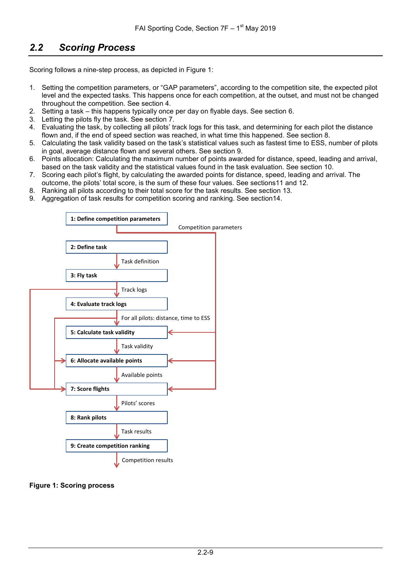### <span id="page-8-0"></span>*2.2 Scoring Process*

Scoring follows a nine-step process, as depicted in [Figure](#page-8-1) 1:

- 1. Setting the competition parameters, or "GAP parameters", according to the competition site, the expected pilot level and the expected tasks. This happens once for each competition, at the outset, and must not be changed throughout the competition. See section [4](#page-10-0).
- 2. Setting a task this happens typically once per day on flyable days. See section [6](#page-13-0).
- 3. Letting the pilots fly the task. See section [7.](#page-17-0)
- 4. Evaluating the task, by collecting all pilots' track logs for this task, and determining for each pilot the distance flown and, if the end of speed section was reached, in what time this happened. See section [8](#page-18-0).
- 5. Calculating the task validity based on the task's statistical values such as fastest time to ESS, number of pilots in goal, average distance flown and several others. See section [9.](#page-22-0)
- 6. Points allocation: Calculating the maximum number of points awarded for distance, speed, leading and arrival, based on the task validity and the statistical values found in the task evaluation. See section [10.](#page-24-0)
- 7. Scoring each pilot's flight, by calculating the awarded points for distance, speed, leading and arrival. The outcome, the pilots' total score, is the sum of these four values. See section[s11](#page-26-0) and [12.](#page-33-0)
- 8. Ranking all pilots according to their total score for the task results. See section [13](#page-37-0).
- 9. Aggregation of task results for competition scoring and ranking. See section[14](#page-38-0).



#### <span id="page-8-1"></span>**Figure 1: Scoring process**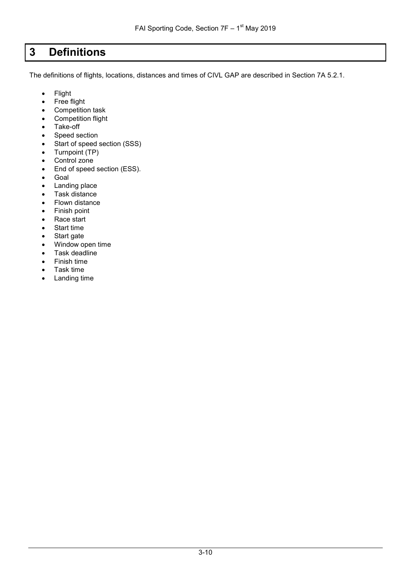# <span id="page-9-0"></span>**3 Definitions**

The definitions of flights, locations, distances and times of CIVL GAP are described in Section 7A 5.2.1.

- Flight
- Free flight
- Competition task
- Competition flight
- Take-off
- Speed section
- Start of speed section (SSS)
- Turnpoint (TP)
- Control zone
- End of speed section (ESS).
- Goal
- Landing place
- Task distance
- Flown distance
- Finish point
- Race start
- Start time
- Start gate
- Window open time
- Task deadline
- Finish time
- Task time
- Landing time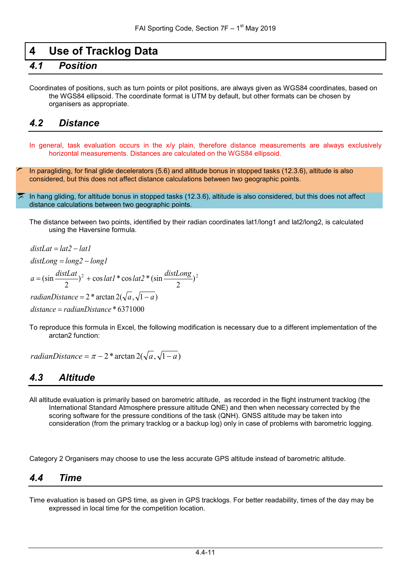### <span id="page-10-0"></span>**4 Use of Tracklog Data**

### <span id="page-10-1"></span>*4.1 Position*

Coordinates of positions, such as turn points or pilot positions, are always given as WGS84 coordinates, based on the WGS84 ellipsoid. The coordinate format is UTM by default, but other formats can be chosen by organisers as appropriate.

#### <span id="page-10-2"></span>*4.2 Distance*

In general, task evaluation occurs in the x/y plain, therefore distance measurements are always exclusively horizontal measurements. Distances are calculated on the WGS84 ellipsoid.

In paragliding, for final glide decelerators [\(5.6\)](#page-12-2) and altitude bonus in stopped tasks [\(12.3.6\)](#page-36-0), altitude is also considered, but this does not affect distance calculations between two geographic points.

In hang gliding, for altitude bonus in stopped tasks [\(12.3.6\)](#page-36-0), altitude is also considered, but this does not affect distance calculations between two geographic points.

The distance between two points, identified by their radian coordinates lat1/long1 and lat2/long2, is calculated using the Haversine formula.

$$
distLat = lat2 - lat1
$$
  
\n
$$
distLong = long2 - long1
$$
  
\n
$$
a = (\sin \frac{distLat}{2})^2 + \cos lat1 * \cos lat2 * (\sin \frac{distLong}{2})^2
$$
  
\n
$$
radianDistance = 2 * arctan 2(\sqrt{a}, \sqrt{1-a})
$$
  
\n
$$
distance = radianDistance * 6371000
$$

To reproduce this formula in Excel, the following modification is necessary due to a different implementation of the arctan2 function:

*radianDistance* =  $\pi$  – 2<sup>\*</sup> arctan 2( $\sqrt{a}$ ,  $\sqrt{1-a}$ )

### <span id="page-10-3"></span>*4.3 Altitude*

All altitude evaluation is primarily based on barometric altitude, as recorded in the flight instrument tracklog (the International Standard Atmosphere pressure altitude QNE) and then when necessary corrected by the scoring software for the pressure conditions of the task (QNH). GNSS altitude may be taken into consideration (from the primary tracklog or a backup log) only in case of problems with barometric logging.

Category 2 Organisers may choose to use the less accurate GPS altitude instead of barometric altitude.

#### <span id="page-10-4"></span>*4.4 Time*

Time evaluation is based on GPS time, as given in GPS tracklogs. For better readability, times of the day may be expressed in local time for the competition location.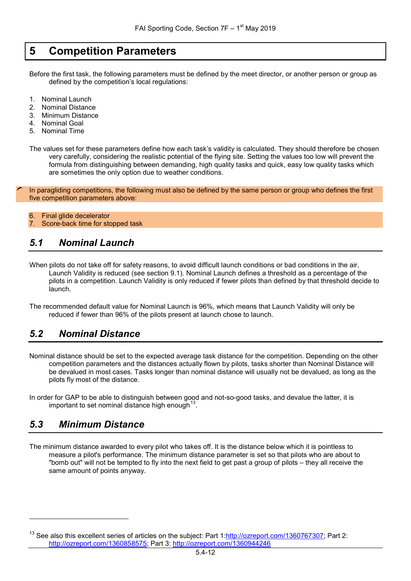### <span id="page-11-0"></span>**5 Competition Parameters**

Before the first task, the following parameters must be defined by the meet director, or another person or group as defined by the competition's local regulations:

- 1. Nominal Launch
- 2. Nominal Distance
- 3. Minimum Distance
- 4. Nominal Goal
- 5. Nominal Time

The values set for these parameters define how each task's validity is calculated. They should therefore be chosen very carefully, considering the realistic potential of the flying site. Setting the values too low will prevent the formula from distinguishing between demanding, high quality tasks and quick, easy low quality tasks which are sometimes the only option due to weather conditions.

In paragliding competitions, the following must also be defined by the same person or group who defines the first five competition parameters above:

6. Final glide decelerator

7. Score-back time for stopped task

#### <span id="page-11-1"></span>*5.1 Nominal Launch*

When pilots do not take off for safety reasons, to avoid difficult launch conditions or bad conditions in the air, Launch Validity is reduced (see section [9.1\)](#page-22-1). Nominal Launch defines a threshold as a percentage of the pilots in a competition. Launch Validity is only reduced if fewer pilots than defined by that threshold decide to launch.

The recommended default value for Nominal Launch is 96%, which means that Launch Validity will only be reduced if fewer than 96% of the pilots present at launch chose to launch.

#### <span id="page-11-2"></span>*5.2 Nominal Distance*

Nominal distance should be set to the expected average task distance for the competition. Depending on the other competition parameters and the distances actually flown by pilots, tasks shorter than Nominal Distance will be devalued in most cases. Tasks longer than nominal distance will usually not be devalued, as long as the pilots fly most of the distance.

In order for GAP to be able to distinguish between good and not-so-good tasks, and devalue the latter, it is important to set nominal distance high enough  $13$ 

### <span id="page-11-3"></span>*5.3 Minimum Distance*

-

The minimum distance awarded to every pilot who takes off. It is the distance below which it is pointless to measure a pilot's performance. The minimum distance parameter is set so that pilots who are about to "bomb out" will not be tempted to fly into the next field to get past a group of pilots – they all receive the same amount of points anyway.

<span id="page-11-4"></span><sup>&</sup>lt;sup>13</sup> See also this excellent series of articles on the subject: Part 1[:http://ozreport.com/1360767307;](http://ozreport.com/1360767307) Part 2: [http://ozreport.com/1360858575;](http://ozreport.com/1360858575) Part 3:<http://ozreport.com/1360944246>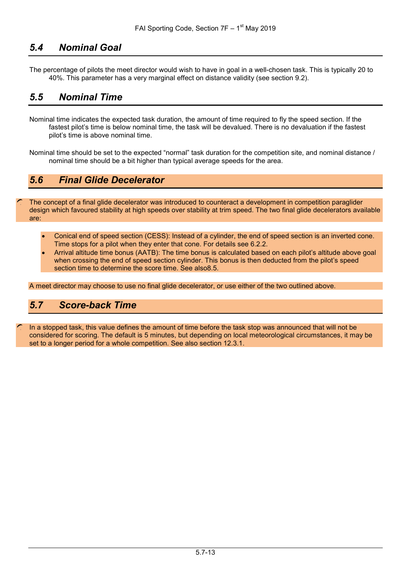### <span id="page-12-0"></span>*5.4 Nominal Goal*

The percentage of pilots the meet director would wish to have in goal in a well-chosen task. This is typically 20 to 40%. This parameter has a very marginal effect on distance validity (see section [9.2\)](#page-22-2).

### <span id="page-12-1"></span>*5.5 Nominal Time*

- Nominal time indicates the expected task duration, the amount of time required to fly the speed section. If the fastest pilot's time is below nominal time, the task will be devalued. There is no devaluation if the fastest pilot's time is above nominal time.
- Nominal time should be set to the expected "normal" task duration for the competition site, and nominal distance / nominal time should be a bit higher than typical average speeds for the area.

### <span id="page-12-2"></span>*5.6 Final Glide Decelerator*

The concept of a final glide decelerator was introduced to counteract a development in competition paraglider design which favoured stability at high speeds over stability at trim speed. The two final glide decelerators available are:

- Conical end of speed section (CESS): Instead of a cylinder, the end of speed section is an inverted cone. Time stops for a pilot when they enter that cone. For details see [6.2.2.](#page-14-0)
- Arrival altitude time bonus (AATB): The time bonus is calculated based on each pilot's altitude above goal when crossing the end of speed section cylinder. This bonus is then deducted from the pilot's speed section time to determine the score time. See als[o8.5.](#page-20-3)

A meet director may choose to use no final glide decelerator, or use either of the two outlined above.

#### <span id="page-12-3"></span>*5.7 Score-back Time*

In a stopped task, this value defines the amount of time before the task stop was announced that will not be considered for scoring. The default is 5 minutes, but depending on local meteorological circumstances, it may be set to a longer period for a whole competition. See also section [12.3.1.](#page-34-1)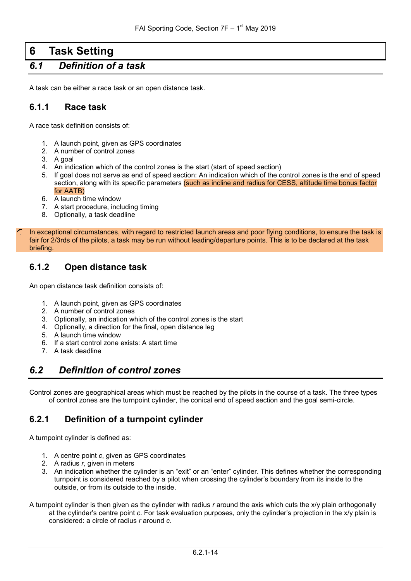# <span id="page-13-0"></span>**6 Task Setting**

### <span id="page-13-1"></span>*6.1 Definition of a task*

A task can be either a race task or an open distance task.

#### <span id="page-13-2"></span>**6.1.1 Race task**

A race task definition consists of:

- 1. A launch point, given as GPS coordinates
- 2. A number of control zones
- 3. A goal
- 4. An indication which of the control zones is the start (start of speed section)
- 5. If goal does not serve as end of speed section: An indication which of the control zones is the end of speed section, along with its specific parameters (such as incline and radius for CESS, altitude time bonus factor for AATB)
- 6. A launch time window
- 7. A start procedure, including timing
- 8. Optionally, a task deadline

In exceptional circumstances, with regard to restricted launch areas and poor flying conditions, to ensure the task is fair for 2/3rds of the pilots, a task may be run without leading/departure points. This is to be declared at the task briefing.

#### <span id="page-13-3"></span>**6.1.2 Open distance task**

An open distance task definition consists of:

- 1. A launch point, given as GPS coordinates
- 2. A number of control zones
- 3. Optionally, an indication which of the control zones is the start
- 4. Optionally, a direction for the final, open distance leg
- 5. A launch time window
- 6. If a start control zone exists: A start time
- 7. A task deadline

#### <span id="page-13-4"></span>*6.2 Definition of control zones*

Control zones are geographical areas which must be reached by the pilots in the course of a task. The three types of control zones are the turnpoint cylinder, the conical end of speed section and the goal semi-circle.

#### <span id="page-13-5"></span>**6.2.1 Definition of a turnpoint cylinder**

A turnpoint cylinder is defined as:

- 1. A centre point *c*, given as GPS coordinates
- 2. A radius *r*, given in meters
- 3. An indication whether the cylinder is an "exit" or an "enter" cylinder. This defines whether the corresponding turnpoint is considered reached by a pilot when crossing the cylinder's boundary from its inside to the outside, or from its outside to the inside.
- A turnpoint cylinder is then given as the cylinder with radius *r* around the axis which cuts the x/y plain orthogonally at the cylinder's centre point *c*. For task evaluation purposes, only the cylinder's projection in the x/y plain is considered: a circle of radius *r* around *c*.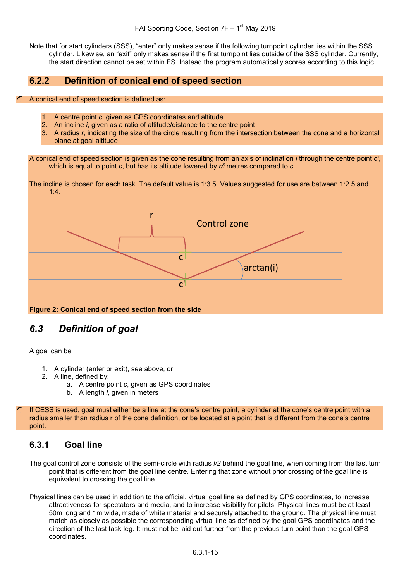Note that for start cylinders (SSS), "enter" only makes sense if the following turnpoint cylinder lies within the SSS cylinder. Likewise, an "exit" only makes sense if the first turnpoint lies outside of the SSS cylinder. Currently, the start direction cannot be set within FS. Instead the program automatically scores according to this logic.

#### <span id="page-14-0"></span>**6.2.2 Definition of conical end of speed section**

- A conical end of speed section is defined as:
	- 1. A centre point *c*, given as GPS coordinates and altitude
	- 2. An incline *i*, given as a ratio of altitude/distance to the centre point
	- 3. A radius *r*, indicating the size of the circle resulting from the intersection between the cone and a horizontal plane at goal altitude

A conical end of speed section is given as the cone resulting from an axis of inclination *i* through the centre point *c'*, which is equal to point *c*, but has its altitude lowered by *r/i* metres compared to *c*.

The incline is chosen for each task. The default value is 1:3.5. Values suggested for use are between 1:2.5 and 1:4.



#### <span id="page-14-1"></span>*6.3 Definition of goal*

A goal can be

- 1. A cylinder (enter or exit), see above, or
- 2. A line, defined by:
	- a. A centre point *c*, given as GPS coordinates
	- b. A length *l*, given in meters

If CESS is used, goal must either be a line at the cone's centre point, a cylinder at the cone's centre point with a radius smaller than radius r of the cone definition, or be located at a point that is different from the cone's centre point.

#### <span id="page-14-2"></span>**6.3.1 Goal line**

- The goal control zone consists of the semi-circle with radius *l/2* behind the goal line, when coming from the last turn point that is different from the goal line centre. Entering that zone without prior crossing of the goal line is equivalent to crossing the goal line.
- Physical lines can be used in addition to the official, virtual goal line as defined by GPS coordinates, to increase attractiveness for spectators and media, and to increase visibility for pilots. Physical lines must be at least 50m long and 1m wide, made of white material and securely attached to the ground. The physical line must match as closely as possible the corresponding virtual line as defined by the goal GPS coordinates and the direction of the last task leg. It must not be laid out further from the previous turn point than the goal GPS coordinates.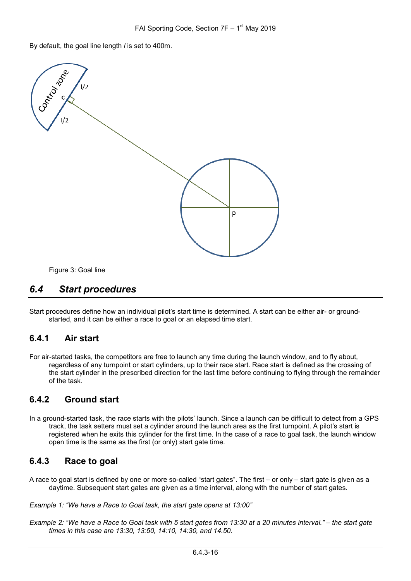By default, the goal line length *l* is set to 400m.



Figure 3: Goal line

#### <span id="page-15-0"></span>*6.4 Start procedures*

Start procedures define how an individual pilot's start time is determined. A start can be either air- or groundstarted, and it can be either a race to goal or an elapsed time start.

#### <span id="page-15-1"></span>**6.4.1 Air start**

For air-started tasks, the competitors are free to launch any time during the launch window, and to fly about, regardless of any turnpoint or start cylinders, up to their race start. Race start is defined as the crossing of the start cylinder in the prescribed direction for the last time before continuing to flying through the remainder of the task.

#### <span id="page-15-2"></span>**6.4.2 Ground start**

In a ground-started task, the race starts with the pilots' launch. Since a launch can be difficult to detect from a GPS track, the task setters must set a cylinder around the launch area as the first turnpoint. A pilot's start is registered when he exits this cylinder for the first time. In the case of a race to goal task, the launch window open time is the same as the first (or only) start gate time.

#### <span id="page-15-3"></span>**6.4.3 Race to goal**

A race to goal start is defined by one or more so-called "start gates". The first – or only – start gate is given as a daytime. Subsequent start gates are given as a time interval, along with the number of start gates.

*Example 1: "We have a Race to Goal task, the start gate opens at 13:00"*

*Example 2: "We have a Race to Goal task with 5 start gates from 13:30 at a 20 minutes interval." – the start gate times in this case are 13:30, 13:50, 14:10, 14:30, and 14.50.*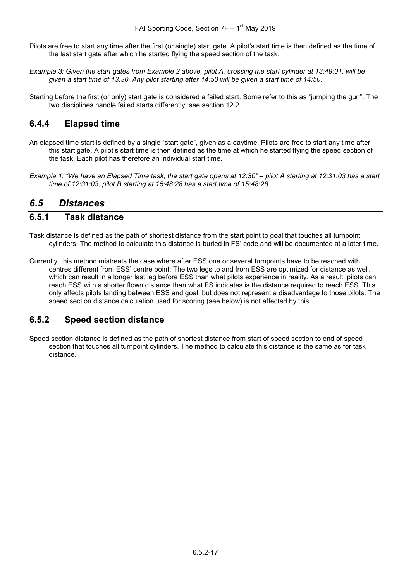- Pilots are free to start any time after the first (or single) start gate. A pilot's start time is then defined as the time of the last start gate after which he started flying the speed section of the task.
- *Example 3: Given the start gates from Example 2 above, pilot A, crossing the start cylinder at 13:49:01, will be given a start time of 13:30. Any pilot starting after 14:50 will be given a start time of 14:50.*
- Starting before the first (or only) start gate is considered a failed start. Some refer to this as "jumping the gun". The two disciplines handle failed starts differently, see section [12.2.](#page-33-2)

#### <span id="page-16-0"></span>**6.4.4 Elapsed time**

- An elapsed time start is defined by a single "start gate", given as a daytime. Pilots are free to start any time after this start gate. A pilot's start time is then defined as the time at which he started flying the speed section of the task. Each pilot has therefore an individual start time.
- *Example 1: "We have an Elapsed Time task, the start gate opens at 12:30" – pilot A starting at 12:31:03 has a start time of 12:31:03, pilot B starting at 15:48:28 has a start time of 15:48:28.*

#### <span id="page-16-1"></span>*6.5 Distances*

#### <span id="page-16-2"></span>**6.5.1 Task distance**

- Task distance is defined as the path of shortest distance from the start point to goal that touches all turnpoint cylinders. The method to calculate this distance is buried in FS' code and will be documented at a later time.
- Currently, this method mistreats the case where after ESS one or several turnpoints have to be reached with centres different from ESS' centre point: The two legs to and from ESS are optimized for distance as well, which can result in a longer last leg before ESS than what pilots experience in reality. As a result, pilots can reach ESS with a shorter flown distance than what FS indicates is the distance required to reach ESS. This only affects pilots landing between ESS and goal, but does not represent a disadvantage to those pilots. The speed section distance calculation used for scoring (see below) is not affected by this.

#### <span id="page-16-3"></span>**6.5.2 Speed section distance**

Speed section distance is defined as the path of shortest distance from start of speed section to end of speed section that touches all turnpoint cylinders. The method to calculate this distance is the same as for task distance.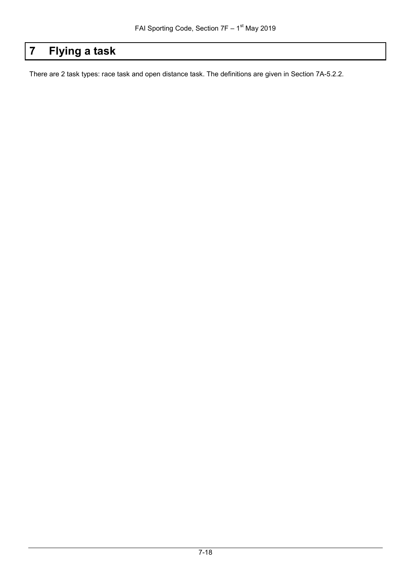# <span id="page-17-0"></span>**7 Flying a task**

There are 2 task types: race task and open distance task. The definitions are given in Section 7A-5.2.2.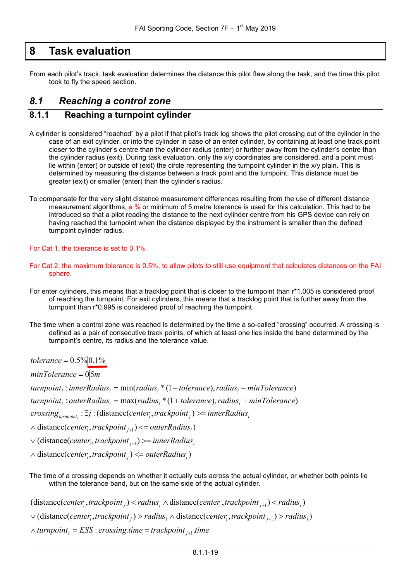### <span id="page-18-0"></span>**8 Task evaluation**

From each pilot's track, task evaluation determines the distance this pilot flew along the task, and the time this pilot took to fly the speed section.

#### <span id="page-18-1"></span>*8.1 Reaching a control zone*

#### <span id="page-18-2"></span>**8.1.1 Reaching a turnpoint cylinder**

- A cylinder is considered "reached" by a pilot if that pilot's track log shows the pilot crossing out of the cylinder in the case of an exit cylinder, or into the cylinder in case of an enter cylinder, by containing at least one track point closer to the cylinder's centre than the cylinder radius (enter) or further away from the cylinder's centre than the cylinder radius (exit). During task evaluation, only the x/y coordinates are considered, and a point must lie within (enter) or outside of (exit) the circle representing the turnpoint cylinder in the x/y plain. This is determined by measuring the distance between a track point and the turnpoint. This distance must be greater (exit) or smaller (enter) than the cylinder's radius.
- To compensate for the very slight distance measurement differences resulting from the use of different distance measurement algorithms, a % or minimum of 5 metre tolerance is used for this calculation. This had to be introduced so that a pilot reading the distance to the next cylinder centre from his GPS device can rely on having reached the turnpoint when the distance displayed by the instrument is smaller than the defined turnpoint cylinder radius.

For Cat 1, the tolerance is set to 0.1%.

- For Cat 2, the maximum tolerance is 0.5%, to allow pilots to still use equipment that calculates distances on the FAI sphere.
- For enter cylinders, this means that a tracklog point that is closer to the turnpoint than r\*1.005 is considered proof of reaching the turnpoint. For exit cylinders, this means that a tracklog point that is further away from the turnpoint than r\*0.995 is considered proof of reaching the turnpoint.
- The time when a control zone was reached is determined by the time a so-called "crossing" occurred. A crossing is defined as a pair of consecutive track points, of which at least one lies inside the band determined by the turnpoint's centre, its radius and the tolerance value.

*tolerance* = 0.5% 0.1%

minTolerance = 0|5m

*turnpoint<sub>i</sub>* : *innerRadius<sub>i</sub>* = min(*radius<sub>i</sub>* \* (1 – tolerance), radius<sub>i</sub> – minTolerance)

 $turnpoint_i: outerRadius_i = max(radius_i * (1+tolerance), radius_i + minTolerance)$ 

 $crossing_{turnpoint_i}$ :  $\exists j$ : (distance(center<sub>i</sub>, trackpoint<sub>j</sub>) >= innerRadius<sub>i</sub>

 $\wedge$  distance(*center<sub>i</sub>*, *trackpoint*<sub>*j*+1</sub>) <= *outerRadius*<sub>*i*</sub>)

 $\vee$  (distance(*center<sub>i</sub>*, trackpoint<sub>j+1</sub>) >= innerRadius<sub>i</sub>

∧ distance(*center<sub>i</sub>*, trackpoint<sub>j</sub>) <= outerRadius<sub>i</sub>)

The time of a crossing depends on whether it actually cuts across the actual cylinder, or whether both points lie within the tolerance band, but on the same side of the actual cylinder.

 $r(\text{distance}(center_i, tracker_i, tracking, i) < radius_i \land \text{distance}(center_i, tracking, i) < radius_i)$ 

 $\vee$  (distance(*center<sub>i</sub>*,trackpoint<sub>j</sub>) > radius<sub>i</sub>  $\wedge$  distance(*center<sub>i</sub>*,trackpoint<sub>j+1</sub>) > radius<sub>i</sub>)

 $\land$  turnpoint<sub>i</sub> = ESS : crossing time = trackpoint<sub>j+1</sub> time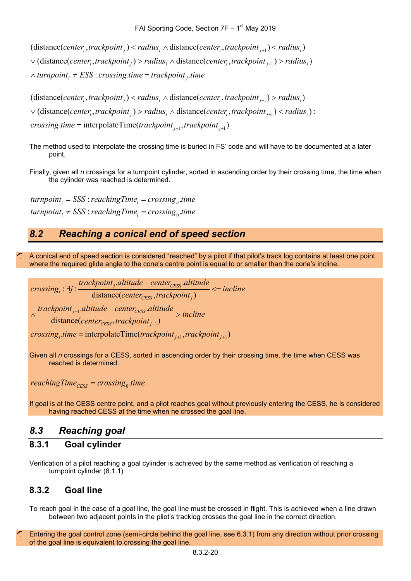$\land$  *turnpoint<sub>i</sub>*  $\neq$  *ESS* : *crossing time* = *trackpoint<sub>j</sub> time*  $\vee$  (distance(*center<sub>i</sub>*, *trackpoint<sub>j</sub>*) > *radius*<sub>*i*</sub>  $\wedge$  distance(*center<sub>i</sub>*, *trackpoint<sub>j+1</sub>)* > *radius<sub>i</sub>*)  $r_i$  (distance(*center<sub>i</sub>*, *trackpoint<sub>j</sub>*) < *radius<sub>i</sub>*  $\wedge$  distance(*center<sub>i</sub>*, *trackpoint<sub>j+1</sub></sub>)* < *radius<sub>i</sub>*)

 $crossing.time = interpolateTime(traine(kpoint_{j+1}, trackpoint_{j+1})$  $\vee$  (distance(center<sub>i</sub>, trackpoint<sub>j</sub>) > radius<sub>i</sub>  $\wedge$  distance(center<sub>i</sub>, trackpoint<sub>j+1</sub>) < radius<sub>i</sub>):  $(distance(center_i, trackingoint_j) < radius_i \wedge distance(center_i, trackingoint_{j+1}) > radius_i$ 

- The method used to interpolate the crossing time is buried in FS' code and will have to be documented at a later point.
- Finally, given all *n* crossings for a turnpoint cylinder, sorted in ascending order by their crossing time, the time when the cylinder was reached is determined.

 $turnpoint_i \neq SSS: reachingTime_i = crossing_0.time_i$  $turnpoint_i = SSS : reachingTime_i = crossing_n.time$ 

### <span id="page-19-0"></span>*8.2 Reaching a conical end of speed section*

A conical end of speed section is considered "reached" by a pilot if that pilot's track log contains at least one point where the required glide angle to the cone's centre point is equal to or smaller than the cone's incline.

$$
crossing_i : \exists j : \frac{trackpoint_j. altitude - center_{CESS}. altitude}{distance(center_{CESS}, trackpoint_j)} \leq incline
$$
\n
$$
\land \frac{trackpoint_{j-1}. altitude - center_{CESS}. altitude}{distance(center_{CESS}, trackpoint_{j-1})} > incline
$$
\n
$$
crossing_i.time = interpolateTime(trackpoint_{j+1}, trackpoint_{j+1})
$$

Given all *n* crossings for a CESS, sorted in ascending order by their crossing time, the time when CESS was reached is determined.

 $reachingTime_{CESS} = crossing_0.time$ 

If goal is at the CESS centre point, and a pilot reaches goal without previously entering the CESS, he is considered having reached CESS at the time when he crossed the goal line.

### <span id="page-19-1"></span>*8.3 Reaching goal*

#### <span id="page-19-2"></span>**8.3.1 Goal cylinder**

Verification of a pilot reaching a goal cylinder is achieved by the same method as verification of reaching a turnpoint cylinder [\(8.1.1\)](#page-18-2)

#### <span id="page-19-3"></span>**8.3.2 Goal line**

To reach goal in the case of a goal line, the goal line must be crossed in flight. This is achieved when a line drawn between two adjacent points in the pilot's tracklog crosses the goal line in the correct direction.

Entering the goal control zone (semi-circle behind the goal line, see [6.3.1\)](#page-14-2) from any direction without prior crossing of the goal line is equivalent to crossing the goal line.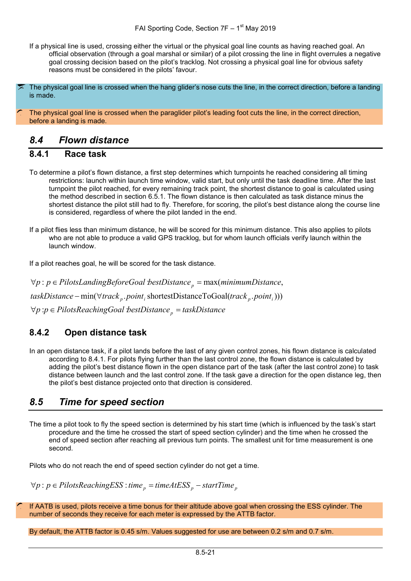If a physical line is used, crossing either the virtual or the physical goal line counts as having reached goal. An official observation (through a goal marshal or similar) of a pilot crossing the line in flight overrules a negative goal crossing decision based on the pilot's tracklog. Not crossing a physical goal line for obvious safety reasons must be considered in the pilots' favour.

The physical goal line is crossed when the hang glider's nose cuts the line, in the correct direction, before a landing is made.

The physical goal line is crossed when the paraglider pilot's leading foot cuts the line, in the correct direction, before a landing is made.

#### <span id="page-20-0"></span>*8.4 Flown distance*

#### <span id="page-20-1"></span>**8.4.1 Race task**

- To determine a pilot's flown distance, a first step determines which turnpoints he reached considering all timing restrictions: launch within launch time window, valid start, but only until the task deadline time. After the last turnpoint the pilot reached, for every remaining track point, the shortest distance to goal is calculated using the method described in section [6.5.1.](#page-16-2) The flown distance is then calculated as task distance minus the shortest distance the pilot still had to fly. Therefore, for scoring, the pilot's best distance along the course line is considered, regardless of where the pilot landed in the end.
- If a pilot flies less than minimum distance, he will be scored for this minimum distance. This also applies to pilots who are not able to produce a valid GPS tracklog, but for whom launch officials verify launch within the launch window.

If a pilot reaches goal, he will be scored for the task distance.

 $\forall p$  :*p* ∈ PilotsReachingGoal *bestDistance*<sub>p</sub> = taskDistance  $taskDistance - min(\forall track_{p}.point_{i} \text{ shortestDistanceToGoal}(track_{p}.point_{i})))$  $\forall p : p \in \text{PilotsLandingBeforeGoal bestDistance}_p = \max(\text{minimumDistance}_e)$ 

### <span id="page-20-2"></span>**8.4.2 Open distance task**

In an open distance task, if a pilot lands before the last of any given control zones, his flown distance is calculated according to [8.4.1.](#page-20-1) For pilots flying further than the last control zone, the flown distance is calculated by adding the pilot's best distance flown in the open distance part of the task (after the last control zone) to task distance between launch and the last control zone. If the task gave a direction for the open distance leg, then the pilot's best distance projected onto that direction is considered.

### <span id="page-20-3"></span>*8.5 Time for speed section*

The time a pilot took to fly the speed section is determined by his start time (which is influenced by the task's start procedure and the time he crossed the start of speed section cylinder) and the time when he crossed the end of speed section after reaching all previous turn points. The smallest unit for time measurement is one second.

Pilots who do not reach the end of speed section cylinder do not get a time.

 $\forall p : p ∈ PilotsReachingESS : time_p = timeAtESS_p - startTime_p$ 

If AATB is used, pilots receive a time bonus for their altitude above goal when crossing the ESS cylinder. The number of seconds they receive for each meter is expressed by the ATTB factor.

By default, the ATTB factor is 0.45 s/m. Values suggested for use are between 0.2 s/m and 0.7 s/m.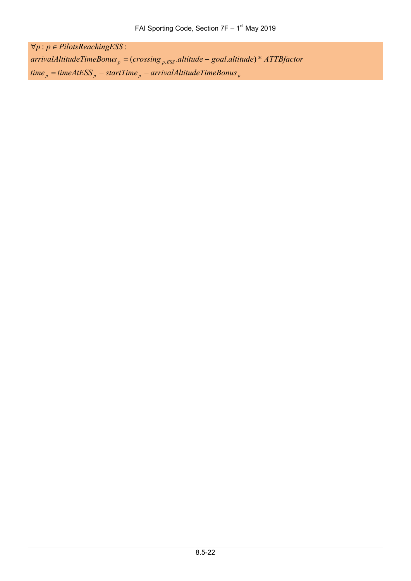$time_p = timeAtESS_p - startTime_p - arrivalAltitudeTimeBonus_p$ arrivalAltitudeTimeBonus<sub>p</sub> = (crossing<sub>p,ESS</sub> altitude – goal altitude) \* ATTBfactor  $\forall p : p \in Pilots$ ReachingESS: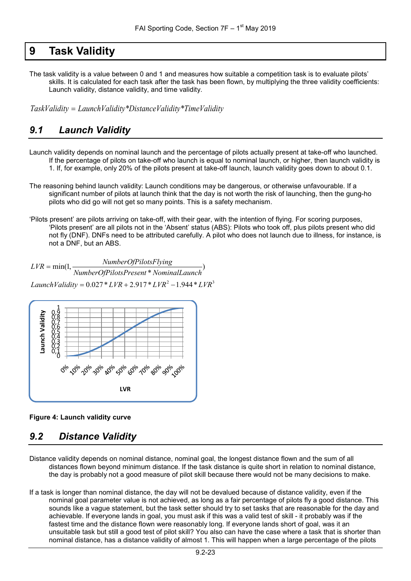### <span id="page-22-0"></span>**9 Task Validity**

The task validity is a value between 0 and 1 and measures how suitable a competition task is to evaluate pilots' skills. It is calculated for each task after the task has been flown, by multiplying the three validity coefficients: Launch validity, distance validity, and time validity.

*TaskValidity* = *LaunchValidity\*DistanceValidity\*TimeValidity*

### <span id="page-22-1"></span>*9.1 Launch Validity*

Launch validity depends on nominal launch and the percentage of pilots actually present at take-off who launched. If the percentage of pilots on take-off who launch is equal to nominal launch, or higher, then launch validity is

1. If, for example, only 20% of the pilots present at take-off launch, launch validity goes down to about 0.1.

- The reasoning behind launch validity: Launch conditions may be dangerous, or otherwise unfavourable. If a significant number of pilots at launch think that the day is not worth the risk of launching, then the gung-ho pilots who did go will not get so many points. This is a safety mechanism.
- 'Pilots present' are pilots arriving on take-off, with their gear, with the intention of flying. For scoring purposes, 'Pilots present' are all pilots not in the 'Absent' status (ABS): Pilots who took off, plus pilots present who did not fly (DNF). DNFs need to be attributed carefully. A pilot who does not launch due to illness, for instance, is not a DNF, but an ABS.

 $LaunchValidity = 0.027 * LVR + 2.917 * LVR<sup>2</sup> - 1.944 * LVR<sup>3</sup>$  $\frac{1}{\text{NumberOfPilotsPresent* NominalLaunch}}$  $LVR = \min(1, \frac{NumberOfPlotsFlying}{\sum_{l=1}^{N} P_{l}})$ 



#### **Figure 4: Launch validity curve**

### <span id="page-22-2"></span>*9.2 Distance Validity*

- Distance validity depends on nominal distance, nominal goal, the longest distance flown and the sum of all distances flown beyond minimum distance. If the task distance is quite short in relation to nominal distance, the day is probably not a good measure of pilot skill because there would not be many decisions to make.
- If a task is longer than nominal distance, the day will not be devalued because of distance validity, even if the nominal goal parameter value is not achieved, as long as a fair percentage of pilots fly a good distance. This sounds like a vague statement, but the task setter should try to set tasks that are reasonable for the day and achievable. If everyone lands in goal, you must ask if this was a valid test of skill - it probably was if the fastest time and the distance flown were reasonably long. If everyone lands short of goal, was it an unsuitable task but still a good test of pilot skill? You also can have the case where a task that is shorter than nominal distance, has a distance validity of almost 1. This will happen when a large percentage of the pilots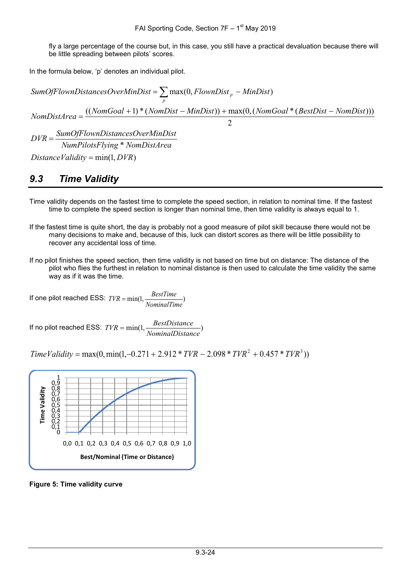fly a large percentage of the course but, in this case, you still have a practical devaluation because there will be little spreading between pilots' scores.

In the formula below, 'p' denotes an individual pilot.

 $\mathcal{D}$  $NombistArea = \frac{((NomGoal + 1) * (NomDist - MinDist)) + max(0, (NomGoal * (BestDist - NomDist)))}{(A, A, B, B, B, B, B, B, C)}$  $SumOfFlownDistance soOverMinDist = \sum \max(0, FlownDist_n - MinDist)$ *p*  $=$   $\sum$  max(0, *FlownDist*<sub>p</sub> –

 $DistanceValidity = min(1, DVR)$ \* *NumPilotsFlying NomDistArea SumOfFlownDistancesOverMinDist DVR* =

### <span id="page-23-0"></span>*9.3 Time Validity*

- Time validity depends on the fastest time to complete the speed section, in relation to nominal time. If the fastest time to complete the speed section is longer than nominal time, then time validity is always equal to 1.
- If the fastest time is quite short, the day is probably not a good measure of pilot skill because there would not be many decisions to make and, because of this, luck can distort scores as there will be little possibility to recover any accidental loss of time.
- If no pilot finishes the speed section, then time validity is not based on time but on distance: The distance of the pilot who flies the furthest in relation to nominal distance is then used to calculate the time validity the same way as if it was the time.

If one pilot reached ESS:  $TVR = min(1, \frac{BestTime}{NominalTime})$ 

If no pilot reached ESS:  $TVR = min(1, \frac{BestDistance}{NominalDistance})$ 

 $Time Validity = max(0, min(1, -0.271 + 2.912 * TVR - 2.098 * TVR<sup>2</sup> + 0.457 * TVR<sup>3</sup>))$ 



**Figure 5: Time validity curve**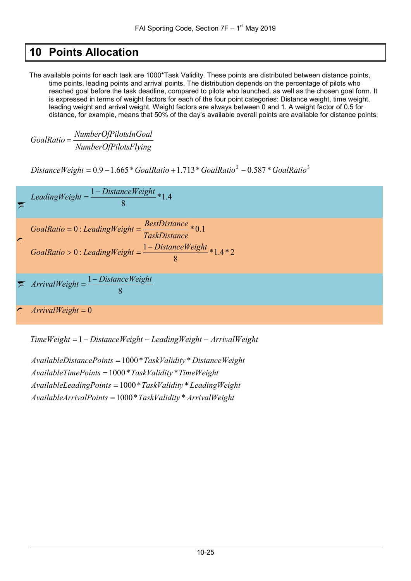# <span id="page-24-0"></span>**10 Points Allocation**

The available points for each task are 1000\*Task Validity. These points are distributed between distance points, time points, leading points and arrival points. The distribution depends on the percentage of pilots who reached goal before the task deadline, compared to pilots who launched, as well as the chosen goal form. It is expressed in terms of weight factors for each of the four point categories: Distance weight, time weight, leading weight and arrival weight. Weight factors are always between 0 and 1. A weight factor of 0.5 for distance, for example, means that 50% of the day's available overall points are available for distance points.

*NumberOfPilotsFlying NumberOfPilotsInGoal GoalRatio* <sup>=</sup>

<sup>2</sup> <sup>3</sup> *DistanceWeight* = 0.9 −1.665\**GoalRatio* +1.713\**GoalRatio* − 0.587 \**GoalRatio*



*TimeWeight* = 1− *DistanceWeight* − *LeadingWeight* − *ArrivalWeight*

AvailableArrivalPoints = 1000 \* TaskValidity \* ArrivalWeight AvailableLeadingPoints = 1000 \* TaskValidity \* LeadingWeight  $A$ vailableTimePoints = 1000 \* TaskValidity \* TimeWeight AvailableDistancePoints = 1000 \* TaskValidity \* DistanceWeight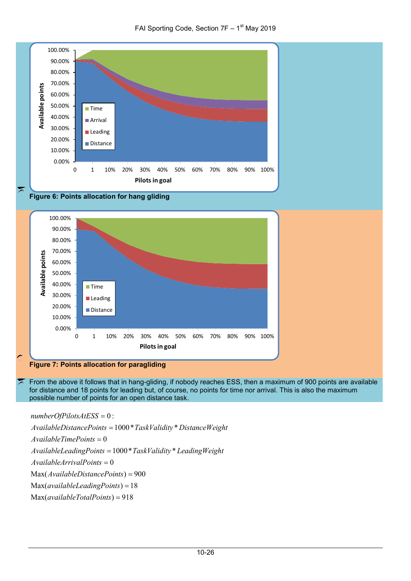







#### **Figure 7: Points allocation for paragliding**

From the above it follows that in hang-gliding, if nobody reaches ESS, then a maximum of 900 points are available for distance and 18 points for leading but, of course, no points for time nor arrival. This is also the maximum possible number of points for an open distance task.

0 : = *numberOfPilotsAtESS*

1000\* \* = *AvailableDistancePoints TaskValidity DistanceWeight*

0 = *AvailableTimePoints*

1000\* \* = *AvailableLeadingPoints TaskValidity LeadingWeight*

0 = *AvailableArrivalPoints*

Max(AvailableDistancePoints) = 900

Max(*availableLeadingPoints*) = 18

 $Max(availableTotalPoints) = 918$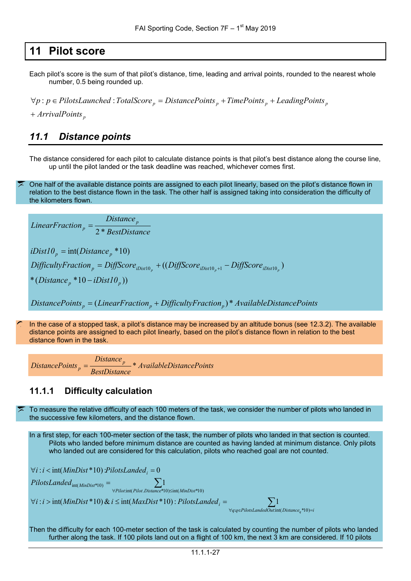### <span id="page-26-0"></span>**11 Pilot score**

Each pilot's score is the sum of that pilot's distance, time, leading and arrival points, rounded to the nearest whole number, 0.5 being rounded up.

 $\forall p : p \in \text{PilotsL}$ *aunched* : TotalScore<sub>p</sub> = DistancePoints<sub>p</sub> + TimePoints<sub>p</sub> + LeadingPoints<sub>p</sub>

*p ArrivalPoints* +

#### <span id="page-26-1"></span>*11.1 Distance points*

The distance considered for each pilot to calculate distance points is that pilot's best distance along the course line, up until the pilot landed or the task deadline was reached, whichever comes first.

One half of the available distance points are assigned to each pilot linearly, based on the pilot's distance flown in relation to the best distance flown in the task. The other half is assigned taking into consideration the difficulty of the kilometers flown.

*BestDistance*  $LinearFraction_p = \frac{Distance_p}{2 * BestDistance_p}$ \*( $Distance_p * 10 - iDist10_p$ ))  $DifficultyFraction_{p} = DiffScore_{iDist10_{p}} + ((DiffScore_{iDist10_{p}+1} - DiffScore_{iDist10_{p}})$  $iDist10<sub>p</sub> = int(Distance<sub>p</sub> * 10)$ 

*DistancePoints*  $_n = (LinearFraction_n + DifficultyFraction_n) * AvailableDistancePoints$ 

In the case of a stopped task, a pilot's distance may be increased by an altitude bonus (see [12.3.2\)](#page-34-2). The available distance points are assigned to each pilot linearly, based on the pilot's distance flown in relation to the best distance flown in the task.

*AvailableDistancePoints BestDistance*  $DistancePoints_p = \frac{Distance_p}{RateDistancep}$ 

#### <span id="page-26-2"></span>**11.1.1 Difficulty calculation**

To measure the relative difficulty of each 100 meters of the task, we consider the number of pilots who landed in the successive few kilometers, and the distance flown.

In a first step, for each 100-meter section of the task, the number of pilots who landed in that section is counted. Pilots who landed before minimum distance are counted as having landed at minimum distance. Only pilots who landed out are considered for this calculation, pilots who reached goal are not counted.

$$
\forall i : i < \text{int}(MinDist * 10) \cdot PilotsLanded_i = 0
$$
\n
$$
PilotsLanded_{int(\text{MinDist} * 10)} = \sum_{\forall Pilot:\text{int}(Pilot) \le int(\text{MinDist} * 10) \le int(\text{MinDist} * 10)} \sum_{i=1}^{Pilot:\text{int}(NinDist * 10) \le int(\text{MinDist} * 10) \cdot PilotsLanded_i = \sum_{\forall g: q \in PilotlandedOut:\text{int}(Distance, *10) = i} \sum_{\forall g: q \in PilotlandedOut:\text{int}(Distance, *10) = i} \sum_{\forall g: q \in PilotlandedOut:\text{int}(Distance, *10) = i} \sum_{\forall g: q \in PilotlandedOut:\text{int}(Distance, *10) = i} \sum_{\forall g: q \in PilotlandedOut:\text{int}(Distance, *10) = i} \sum_{\forall g: q \in PilotlandedOut:\text{int}(Distance, *10) = i} \sum_{\forall g: q \in PilotlandedOut:\text{int}(Distance, *10) = i} \sum_{\forall g: q \in PilotlandedOut:\text{int}(Distance, *10) = i} \sum_{\forall g: q \in PilotlandedOut:\text{int}(Distance, *10) = i} \sum_{\forall g: q \in PilotlandedOut:\text{int}(Distance, *10) = i} \sum_{\forall g: q \in PiotlandedOut:\text{int}(Distance, *10) = i} \sum_{\forall g: q \in PiotlandedOut:\text{int}(Distance, *10) = i} \sum_{\forall g: q \in PiotlandedOut:\text{int}(Distance, *10) = i} \sum_{\forall g: q \in PiotlandedOut:\text{int}(Distance, *10) = i} \sum_{\forall g: q \in PiotlandedOut:\text{int}(Distance, *10) = i} \sum_{\forall g: q \in PiotlandedOut:\text{int}(Value, *10) = i} \sum_{\forall g: q \in PiotlandedOut:\text{int}(Value, *10) = i} \sum_{\forall g: q \in PiotlandedOut:\text{int}(Value, *10) = i} \sum_{\forall g: q \in PiotlandedOut:\text{int}(Value, *10) = i} \sum_{\forall g: q \in PiotlandedOut:\text{int}(Value, *10) = i} \sum_{\forall g: q \in PiotlandedOut:\text{int}(Value, *10) = i} \sum_{
$$

Then the difficulty for each 100-meter section of the task is calculated by counting the number of pilots who landed further along the task. If 100 pilots land out on a flight of 100 km, the next 3 km are considered. If 10 pilots

*q*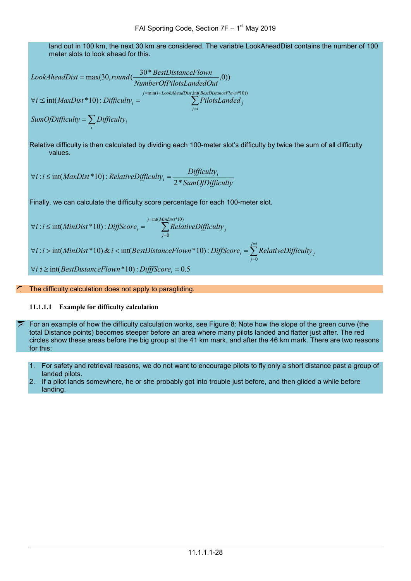land out in 100 km, the next 30 km are considered. The variable LookAheadDist contains the number of 100 meter slots to look ahead for this.

LookAheadDist = max(30, round(
$$
\frac{30 * BestDistanceFlown}{NumberOfPilotsLandedOut}, 0)
$$
)  
\n $\forall i \leq int(MaxDist * 10): Difficulty_i = \sum_{j=1}^{j=\min(i+LookAreaIDist\_int(BestDistanceFlown * 10))} \sum_{j=i}^{j=\min(i+LookAreaIDist\_int(BestDistanceFlown * 10))} \sum_{j=i}^{j=\min(i+LookAreaIDist\_int(BestDistanceFlown * 10))} \sum_{j=i}^{j=\min(i+LookAreaIDist\_int(BestDistanceFlown * 10))} \sum_{j=i}^{j=\min(i+LookAreaIDist\_int(BestDistanceFlown * 10))} \sum_{j=i}^{j=\min(i+LookAreaIDist\_int(BestDistanceFlown * 10))} \sum_{j=i}^{j=\min(i+LookAreaIDist\_int(BestDistanceFlown * 10))} \sum_{j=i}^{j=\min(i+LossAreaIDist\_int(BestDistanceFlown * 10))} \sum_{j=i}^{j=\min(i+LossAreaIDist\_int(BestDistanceFlown * 10))} \sum_{j=i}^{j=\min(i+LossAreaIDist\_int(BestDistanceFlown * 10))} \sum_{j=i}^{j=\min(i+LossAreaIDist\_int(BestDistanceFlown * 10))} \sum_{j=i}^{j=\min(i+LossAreaIDist\_int(BestDistanceFlown * 10))} \sum_{j=i}^{j=\min(i+LossAreaIDist\_int(BestDistanceFlown * 10))} \sum_{j=i}^{j=\min(i+LossAreaIDist\_int(BestDistanceFlown * 10))} \sum_{j=i}^{j=\min(i+LossAreaIDist\_int(BestDistanceFlown * 10))} \sum_{j=i}^{j=\min(i+LossAreaIDist\_int(BestDistanceFlown * 10))} \sum_{j=i}^{j=\min(i+LossAreaIDist\_int(CestDistanceFlown * 10))} \sum_{j=1}^{j=\min(i+processAreaIDist\_int(CestDistagem * 10))} \sum_{j=1}^{j=\min(i+processAreaIDist\_int(CestDistagem * 10))} \sum_{j=1}^{j=\min(i+processAreaIDist\_int(CestDistagem * 10))} \sum_{j=1}^{j=\min(i+processAreaIDist\_int(CestDistagem * 10))} \sum_{j=1}^{j=\min(i+processAreaIDist\_int(CestDistagem * 10))} \sum_{j=1}^{j=\min(i+processAreaIDist\_int(CestDistagem * 10))} \sum_{j=1}^{j=\$ 

Relative difficulty is then calculated by dividing each 100-meter slot's difficulty by twice the sum of all difficulty values.

$$
\forall i : i \le \text{int}(MaxDist * 10) : RelativeDifficulty_i = \frac{Difficulty_i}{2 * \text{SumOfDifficulty}}
$$

Finally, we can calculate the difficulty score percentage for each 100-meter slot.

$$
\forall i : i \le \text{int}(MinDist * 10) : \text{DiffScore}_i = \sum_{j=0}^{j=\text{int}(MinDist * 10)} \text{RelativeDifficulty}_j
$$
\n
$$
\forall i : i > \text{int}(MinDist * 10) \& i < \text{int}(BestDistanceFlow n * 10) : \text{DiffScore}_i = \sum_{j=0}^{j=i} RelativeDifficulty_j
$$
\n
$$
\forall i : i \ge \text{int}(BestDistanceFlow n * 10) : \text{DiffSScore}_i = 0.5
$$

#### The difficulty calculation does not apply to paragliding.

#### **11.1.1.1 Example for difficulty calculation**

 $\sqrt{2}$ 

*i*

For an example of how the difficulty calculation works, see [Figure 8:](#page-28-1) Note how the slope of the green curve (the total Distance points) becomes steeper before an area where many pilots landed and flatter just after. The red circles show these areas before the big group at the 41 km mark, and after the 46 km mark. There are two reasons for this:

- 1. For safety and retrieval reasons, we do not want to encourage pilots to fly only a short distance past a group of landed pilots.
- 2. If a pilot lands somewhere, he or she probably got into trouble just before, and then glided a while before landing.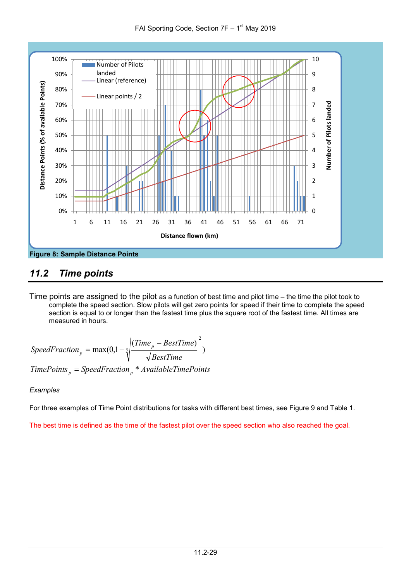



### <span id="page-28-1"></span><span id="page-28-0"></span>*11.2 Time points*

Time points are assigned to the pilot as a function of best time and pilot time – the time the pilot took to complete the speed section. Slow pilots will get zero points for speed if their time to complete the speed section is equal to or longer than the fastest time plus the square root of the fastest time. All times are measured in hours.

$$
SpeedFraction_{p} = \max(0, 1 - \sqrt[3]{\frac{(Time_{p} - BestTime)}{\sqrt{BestTime}}^{2}})
$$
  
TimePoints\_{p} = SpeedFraction\_{p} \* AvailableTimePoints

#### *Examples*

For three examples of Time Point distributions for tasks with different best times, see [Figure 9](#page-29-1) and [Table](#page-29-2) 1.

The best time is defined as the time of the fastest pilot over the speed section who also reached the goal.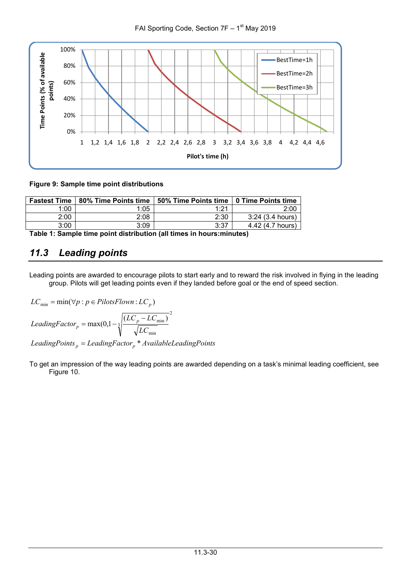

#### <span id="page-29-1"></span>**Figure 9: Sample time point distributions**

| <b>Fastest Time</b> | 80% Time Points time | 50% Time Points time | ∣ 0 Time Points time |
|---------------------|----------------------|----------------------|----------------------|
| 1:00                | 1:05                 | 1:21                 | 2:00                 |
| 2:00                | 2:08                 | 2:30                 | 3:24(3.4 hours)      |
| 3:00                | 3:09                 | 3:37                 | 4.42 (4.7 hours)     |

<span id="page-29-2"></span>**Table 1: Sample time point distribution (all times in hours:minutes)**

### <span id="page-29-0"></span>*11.3 Leading points*

Leading points are awarded to encourage pilots to start early and to reward the risk involved in flying in the leading group. Pilots will get leading points even if they landed before goal or the end of speed section.

$$
LC_{\min} = \min(\forall p : p \in PilotsFlown : LC_p)
$$
  

$$
LeadingFactor_p = \max(0, 1 - \sqrt[3]{\frac{(LC_p - LC_{\min})}{\sqrt{LC_{\min}}^2}}
$$
  

$$
LeadingPoints_p = leadingFactor_p * AvailableLeadingPoints
$$

To get an impression of the way leading points are awarded depending on a task's minimal leading coefficient, see [Figure 10.](#page-30-1)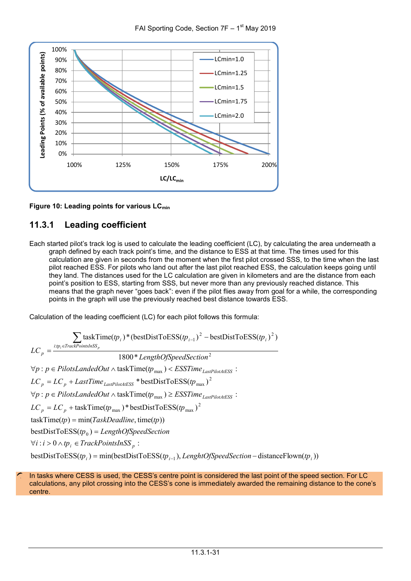



<span id="page-30-1"></span>Figure 10: Leading points for various LC<sub>min</sub>

#### <span id="page-30-0"></span>**11.3.1 Leading coefficient**

Each started pilot's track log is used to calculate the leading coefficient (LC), by calculating the area underneath a graph defined by each track point's time, and the distance to ESS at that time. The times used for this calculation are given in seconds from the moment when the first pilot crossed SSS, to the time when the last pilot reached ESS. For pilots who land out after the last pilot reached ESS, the calculation keeps going until they land. The distances used for the LC calculation are given in kilometers and are the distance from each point's position to ESS, starting from SSS, but never more than any previously reached distance. This means that the graph never "goes back": even if the pilot flies away from goal for a while, the corresponding points in the graph will use the previously reached best distance towards ESS.

Calculation of the leading coefficient (LC) for each pilot follows this formula:

 $bestDistToESS(p_i) = min(bestDistToESS(p_{i-1}), LengthOfSpeedSection - distanceFlown(p_i))$  $\forall i$  : *i* > 0 ∧ *tp*<sub>*i*</sub></sub>  $\in$  *TrackPointsInSS*<sub>*p*</sub> :  $bestDistToESS(tp_0) = LengthOfSpeedSection$  $taskTime(tp) = min(TaskDeadline, time(tp))$  $LC_p = LC_p + taskTime(tp_{max}) * bestDistToESS(tp_{max})^2$  $\forall p : p \in \text{PilotsLandedOut} \land \text{taskTime}(tp_{\text{max}}) \geq \text{ESSTime}_{\text{LastPilotAtESS}}$ :  $LC_p = LC_p + LastTime_{LastPilotAtESS} * bestDistToESS(tp_{max})^2$  $\forall p : p \in \text{PilotsLandedOut} \land \text{taskTime}(tp_{\text{max}}) < \text{ESSTime}_{\text{LastPilotAtESS}}$ 1800\* 2 *LengthOfSpeedSection*  $\sum$  taskTime( $tp_i$ )\*(bestDistToESS( $tp_{i-1}$ )<sup>2</sup> – bestDistToESS( $tp_i$ )<sup>2</sup>) : *i tp TrackPointsInSS*  $LC_p = \frac{i:tp_i \in \text{TrackPointsS}_p}{\sqrt{np_i}}$ 

In tasks where CESS is used, the CESS's centre point is considered the last point of the speed section. For LC calculations, any pilot crossing into the CESS's cone is immediately awarded the remaining distance to the cone's centre.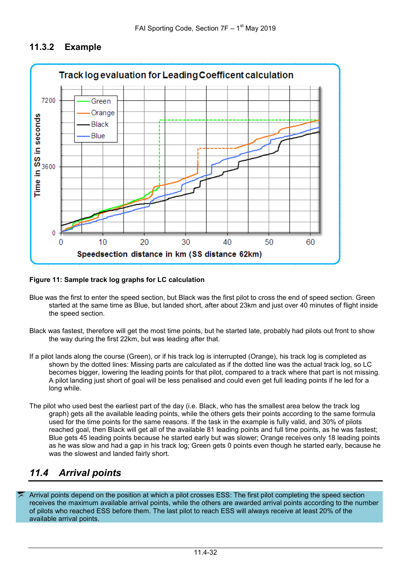#### <span id="page-31-0"></span>**11.3.2 Example**



#### **Figure 11: Sample track log graphs for LC calculation**

- Blue was the first to enter the speed section, but Black was the first pilot to cross the end of speed section. Green started at the same time as Blue, but landed short, after about 23km and just over 40 minutes of flight inside the speed section.
- Black was fastest, therefore will get the most time points, but he started late, probably had pilots out front to show the way during the first 22km, but was leading after that.
- If a pilot lands along the course (Green), or if his track log is interrupted (Orange), his track log is completed as shown by the dotted lines: Missing parts are calculated as if the dotted line was the actual track log, so LC becomes bigger, lowering the leading points for that pilot, compared to a track where that part is not missing. A pilot landing just short of goal will be less penalised and could even get full leading points if he led for a long while.
- The pilot who used best the earliest part of the day (i.e. Black, who has the smallest area below the track log graph) gets all the available leading points, while the others gets their points according to the same formula used for the time points for the same reasons. If the task in the example is fully valid, and 30% of pilots reached goal, then Black will get all of the available 81 leading points and full time points, as he was fastest; Blue gets 45 leading points because he started early but was slower; Orange receives only 18 leading points as he was slow and had a gap in his track log; Green gets 0 points even though he started early, because he was the slowest and landed fairly short.

### <span id="page-31-1"></span>*11.4 Arrival points*

Arrival points depend on the position at which a pilot crosses ESS: The first pilot completing the speed section receives the maximum available arrival points, while the others are awarded arrival points according to the number of pilots who reached ESS before them. The last pilot to reach ESS will always receive at least 20% of the available arrival points.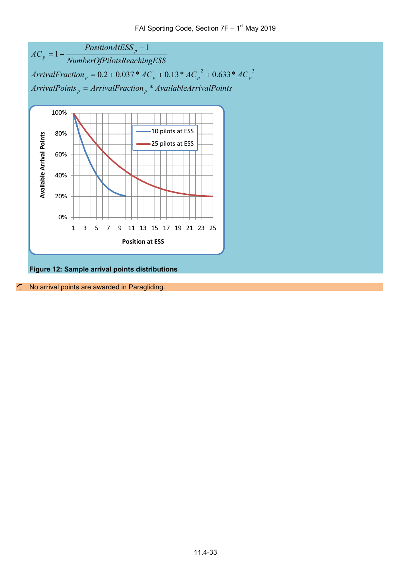



**Figure 12: Sample arrival points distributions**

No arrival points are awarded in Paragliding.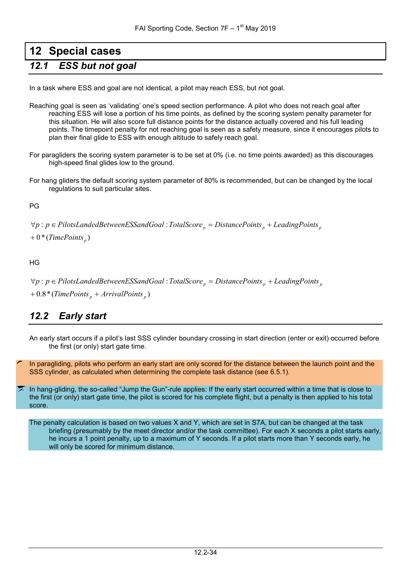# <span id="page-33-0"></span>**12 Special cases**

### <span id="page-33-1"></span>*12.1 ESS but not goal*

In a task where ESS and goal are not identical, a pilot may reach ESS, but not goal.

- Reaching goal is seen as 'validating' one's speed section performance. A pilot who does not reach goal after reaching ESS will lose a portion of his time points, as defined by the scoring system penalty parameter for this situation. He will also score full distance points for the distance actually covered and his full leading points. The timepoint penalty for not reaching goal is seen as a safety measure, since it encourages pilots to plan their final glide to ESS with enough altitude to safely reach goal.
- For paragliders the scoring system parameter is to be set at 0% (i.e. no time points awarded) as this discourages high-speed final glides low to the ground.
- For hang gliders the default scoring system parameter of 80% is recommended, but can be changed by the local regulations to suit particular sites.

PG

∀p : p ∈ PilotsLandedBetweenESSandGoal : TotalScore<sub>p</sub> = DistancePoints<sub>p</sub> + LeadingPoints<sub>p</sub>

 $+0*(TimePoints_p)$ 

HG

∀p : p ∈ PilotsLandedBetweenESSandGoal : TotalScore<sub>p</sub> = DistancePoints<sub>p</sub> + LeadingPoints<sub>p</sub>

 $+$  0.8  $*$  (TimePoints<sub>p</sub> + ArrivalPoints<sub>p</sub>)

### <span id="page-33-2"></span>*12.2 Early start*

An early start occurs if a pilot's last SSS cylinder boundary crossing in start direction (enter or exit) occurred before the first (or only) start gate time.

In paragliding, pilots who perform an early start are only scored for the distance between the launch point and the SSS cylinder, as calculated when determining the complete task distance (see [6.5.1\)](#page-16-2).

In hang-gliding, the so-called "Jump the Gun"-rule applies: If the early start occurred within a time that is close to the first (or only) start gate time, the pilot is scored for his complete flight, but a penalty is then applied to his total score.

The penalty calculation is based on two values X and Y, which are set in S7A, but can be changed at the task briefing (presumably by the meet director and/or the task committee). For each X seconds a pilot starts early, he incurs a 1 point penalty, up to a maximum of Y seconds. If a pilot starts more than Y seconds early, he will only be scored for minimum distance.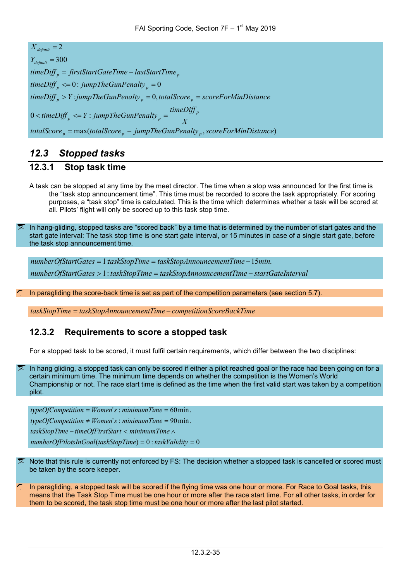*totalScore* <sub>p</sub> = max(totalScore <sub>p</sub> – jumpTheGunPenalty <sub>p</sub> , scoreForMinDistance)  $0$  < timeDiff  $\int_{0}^{R}$  <= Y :  $\mu$  *timeDiff*  $\int_{p}$  > Y : *jumpTheGunPenalty*  $\int_{p}$  = 0, *totalScore*  $\int_{p}$  = *scoreForMinDistance*  $timeDiff_{p} \leq 0$ : jumpTheGunPenalty<sub>p</sub> = 0  $Y_{\text{default}} = 300$  $X_{\text{default}} = 2$ *X*  $timeDiff_{p} \leq Y$ :  $jumpThe GunPenalty_{p} = \frac{timeDiff_{p}}{Y}$  $timeDiff_p = firstStartGateTime - lastStartTime_p$  $lt$  *kimeDiff*  $_p$   $\leq$   $Y$  : jumpTheGunPenalty  $_p$  =

### <span id="page-34-0"></span>*12.3 Stopped tasks*

#### <span id="page-34-1"></span>**12.3.1 Stop task time**

A task can be stopped at any time by the meet director. The time when a stop was announced for the first time is the "task stop announcement time". This time must be recorded to score the task appropriately. For scoring purposes, a "task stop" time is calculated. This is the time which determines whether a task will be scored at all. Pilots' flight will only be scored up to this task stop time.

In hang-gliding, stopped tasks are "scored back" by a time that is determined by the number of start gates and the start gate interval: The task stop time is one start gate interval, or 15 minutes in case of a single start gate, before the task stop announcement time.

*numberOfStartGates taskStopTime taskStopAnnouncementTime startGateInterval* > = − 1: *numberOfStartGates taskStopTime taskStopAnnouncementTime min* = = − 1: 15 .

In paragliding the score-back time is set as part of the competition parameters (see section [5.7\)](#page-12-3).

*taskStopTime* = *taskStopAnnouncementTime* − *competitionScoreBackTime*

#### <span id="page-34-2"></span>**12.3.2 Requirements to score a stopped task**

For a stopped task to be scored, it must fulfil certain requirements, which differ between the two disciplines:

In hang gliding, a stopped task can only be scored if either a pilot reached goal or the race had been going on for a certain minimum time. The minimum time depends on whether the competition is the Women's World Championship or not. The race start time is defined as the time when the first valid start was taken by a competition pilot.

( ) 0 : 0 = = *numberOfPilotsInGoal taskStopTime taskValidity*  $typeOfCompetition \neq Women's : minimumTime = 90 min.$  $typeOfCompetition = Women's : minimumTime = 60 min.$ − < ∧ *taskStopTime timeOfFirstStart minimumTime*

Note that this rule is currently not enforced by FS: The decision whether a stopped task is cancelled or scored must be taken by the score keeper.

In paragliding, a stopped task will be scored if the flying time was one hour or more. For Race to Goal tasks, this means that the Task Stop Time must be one hour or more after the race start time. For all other tasks, in order for them to be scored, the task stop time must be one hour or more after the last pilot started.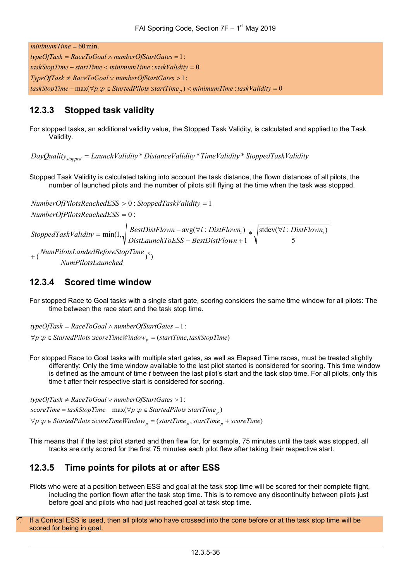$taskStopTime - \text{max}(\forall p : p \in StartedPilots \; startTime_p) < minimumTime : taskValidity = 0$ 1: ≠ ∨ > *TypeOfTask RaceToGoal numberOfStartGates* : 0 − < = *taskStopTime startTime minimumTime taskValidity* 1: = ∧ = *typeOfTask RaceToGoal numberOfStartGates*  $minimumTime = 60$  min.

#### <span id="page-35-0"></span>**12.3.3 Stopped task validity**

For stopped tasks, an additional validity value, the Stopped Task Validity, is calculated and applied to the Task Validity.

*DayQuality*<sub>stopped</sub> = LaunchValidity<sup>\*</sup> DistanceValidity<sup>\*</sup> TimeValidity<sup>\*</sup> StoppedTaskValidity

Stopped Task Validity is calculated taking into account the task distance, the flown distances of all pilots, the number of launched pilots and the number of pilots still flying at the time when the task was stopped.

+(*NumPilotsLandedBeforeStopTime*)<sup>3</sup>) 5 \*  $\sqrt{\frac{\text{stdev}(\forall i : DistFlow_{i})}{\tau}}$ 1 avg( : ) min(1, *i DistFlown*  $NumberOfPilotsReachedESS = 0$ :  $NumberOfPlotsReachedESS > 0$ : StoppedTaskValidity = 1 *NumPilotsLaunched DistLaunchToESS BestDistFlown BestDistFlown <sup>i</sup> DistFlown StoppedTaskValidity i i* ∀ − BestDistFlown +  $=\min(1, \sqrt{\frac{BestDistFlown - \text{avg}(\forall)}{P} \cdot \text{avg}(\forall)}$ 

#### <span id="page-35-1"></span>**12.3.4 Scored time window**

For stopped Race to Goal tasks with a single start gate, scoring considers the same time window for all pilots: The time between the race start and the task stop time.

 $\forall p$  : $p \in$  StartedPilots *scoreTimeWindow*  $_p = (startTime, taskStopTime)$ *typeOfTask* = RaceToGoal ∧ numberOfStartGates =  $\overline{1}$  :

For stopped Race to Goal tasks with multiple start gates, as well as Elapsed Time races, must be treated slightly differently: Only the time window available to the last pilot started is considered for scoring. This time window is defined as the amount of time *t* between the last pilot's start and the task stop time. For all pilots, only this time t after their respective start is considered for scoring.

 $\forall p$  : $p \in \text{StartedPilots}$   $\text{scoreTimeWindow}_p = (\text{startTime}_p, \text{startTime}_p + \text{scoreTime})$  $scoreTime = taskStopTime - max(\forall p : p \in startedPilots$  *startTime*<sub>p</sub>) *typeOfTask* ≠ RaceToGoal  $\vee$  numberOfStartGates > 1:

This means that if the last pilot started and then flew for, for example, 75 minutes until the task was stopped, all tracks are only scored for the first 75 minutes each pilot flew after taking their respective start.

#### <span id="page-35-2"></span>**12.3.5 Time points for pilots at or after ESS**

- Pilots who were at a position between ESS and goal at the task stop time will be scored for their complete flight, including the portion flown after the task stop time. This is to remove any discontinuity between pilots just before goal and pilots who had just reached goal at task stop time.
- If a Conical ESS is used, then all pilots who have crossed into the cone before or at the task stop time will be scored for being in goal.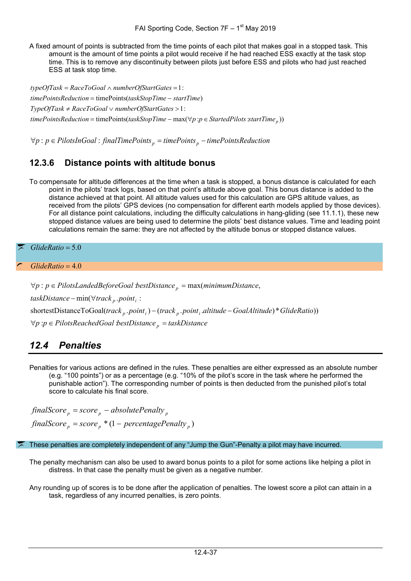A fixed amount of points is subtracted from the time points of each pilot that makes goal in a stopped task. This amount is the amount of time points a pilot would receive if he had reached ESS exactly at the task stop time. This is to remove any discontinuity between pilots just before ESS and pilots who had just reached ESS at task stop time.

 $timePointsReduction = timePoints(taskStopTime - max(\forall p : p \in startedPilots~startTime_p))$  $TypeOfTask \neq RaceToGoal \vee numberOfStartGates > 1$ :  $timePointsReduction = timePoints(taskStopTime - startTime)$ *typeOfTask* = RaceToGoal ∧ numberOfStartGates = 1:

 $\forall p : p \in PilotsInGoal : finalTimePoints_p = timePoints_p - timePoints$ 

#### <span id="page-36-0"></span>**12.3.6 Distance points with altitude bonus**

To compensate for altitude differences at the time when a task is stopped, a bonus distance is calculated for each point in the pilots' track logs, based on that point's altitude above goal. This bonus distance is added to the distance achieved at that point. All altitude values used for this calculation are GPS altitude values, as received from the pilots' GPS devices (no compensation for different earth models applied by those devices). For all distance point calculations, including the difficulty calculations in hang-gliding (see [11.1.1\)](#page-26-2), these new stopped distance values are being used to determine the pilots' best distance values. Time and leading point calculations remain the same: they are not affected by the altitude bonus or stopped distance values.

*GlideRatio* = 5.0

 $G$ *lideRatio* = 4.0

 $\forall p$  : $p \in \text{Pilots}$  *ReachedGoal bestDistance*  $p =$  taskDistance *shortestDistanceToGoal(track<sub>p</sub>.point<sub>i</sub>)* − (*track<sub>p</sub>.point<sub>i</sub>.altitude* − *GoalAltitude*)\* *GlideRatio*))  $taskDistance - min(\forall track p . point)$ :  $\forall p : p \in \text{PilotsLandedBeforeGoal bestDistance}_p = \max(\text{minimumDistance}_p)$ 

### <span id="page-36-1"></span>*12.4 Penalties*

Penalties for various actions are defined in the rules. These penalties are either expressed as an absolute number (e.g. "100 points") or as a percentage (e.g. "10% of the pilot's score in the task where he performed the punishable action"). The corresponding number of points is then deducted from the punished pilot's total score to calculate his final score.

 $\int \frac{finalScore_p = score_p * (1 - percentagePenalty_p)}{p}$  $\int$ *finalScore*  $_p$  = *score*  $_p$  – *absolutePenalty*  $_p$ 

These penalties are completely independent of any "Jump the Gun"-Penalty a pilot may have incurred.

The penalty mechanism can also be used to award bonus points to a pilot for some actions like helping a pilot in distress. In that case the penalty must be given as a negative number.

Any rounding up of scores is to be done after the application of penalties. The lowest score a pilot can attain in a task, regardless of any incurred penalties, is zero points.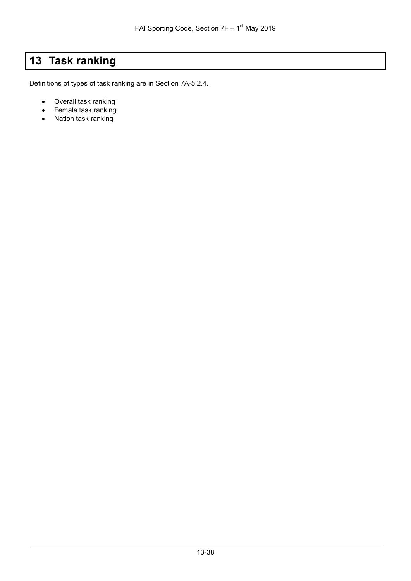# <span id="page-37-0"></span>**13 Task ranking**

Definitions of types of task ranking are in Section 7A-5.2.4.

- Overall task ranking
- Female task ranking
- Nation task ranking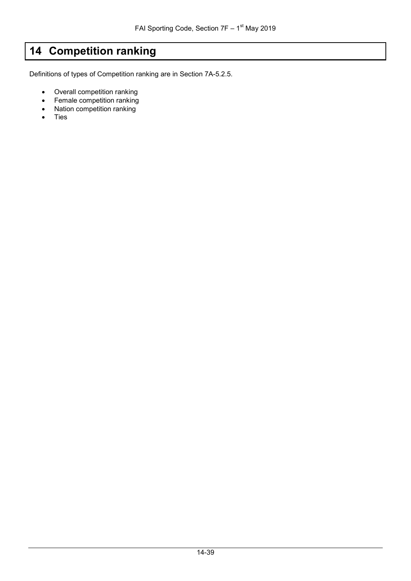# <span id="page-38-0"></span>**14 Competition ranking**

Definitions of types of Competition ranking are in Section 7A-5.2.5.

- Overall competition ranking
- Female competition ranking
- Nation competition ranking
- Ties